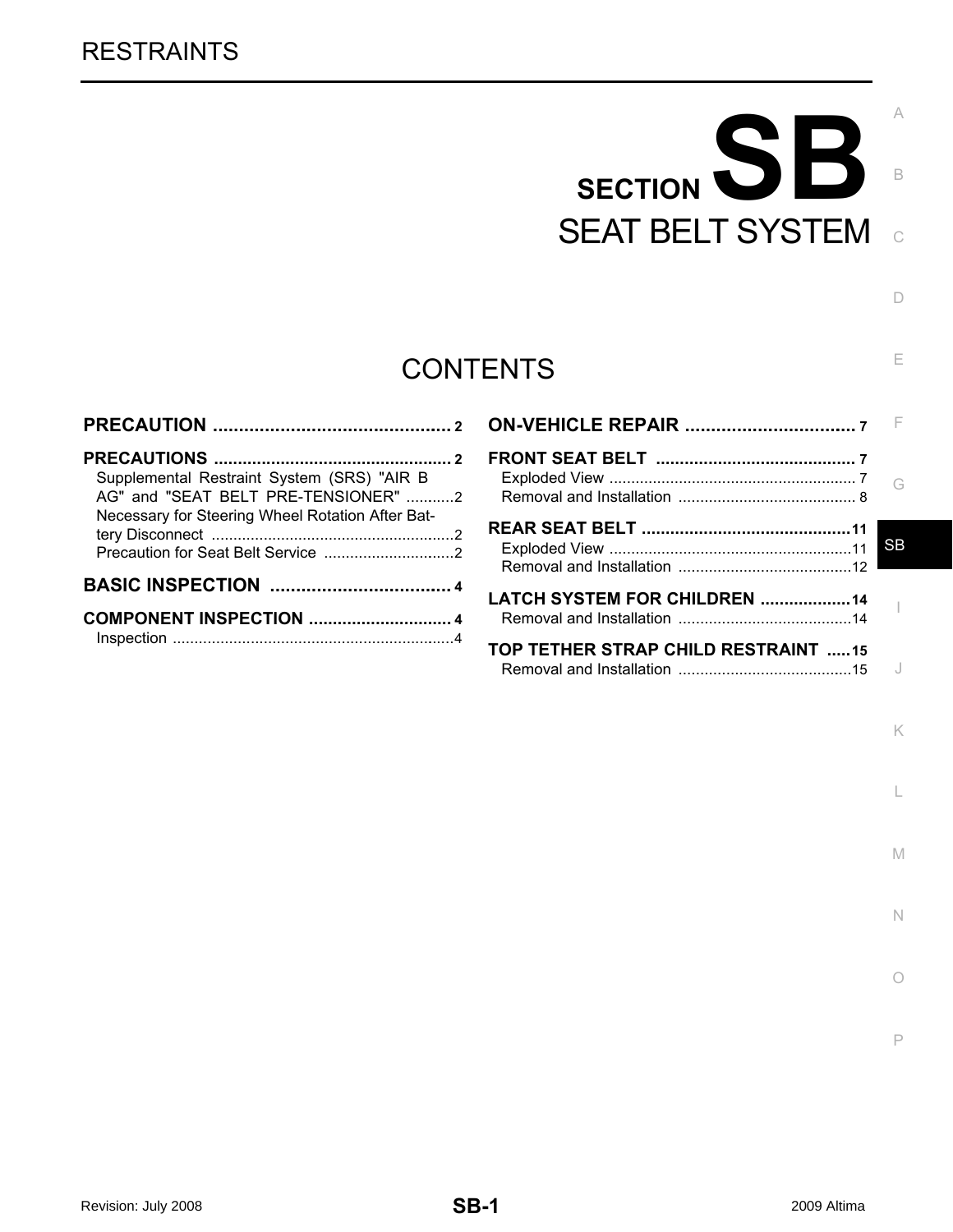# SECTION SB SEAT BELT SYSTEM

C

B

 $\Box$ 

E

K

L

M

N

O

P

## **CONTENTS**

| Supplemental Restraint System (SRS) "AIR B<br>AG" and "SEAT BELT PRE-TENSIONER" 2<br>Necessary for Steering Wheel Rotation After Bat- |
|---------------------------------------------------------------------------------------------------------------------------------------|
|                                                                                                                                       |
|                                                                                                                                       |

|                                     | SB |
|-------------------------------------|----|
| <b>LATCH SYSTEM FOR CHILDREN 14</b> |    |
| TOP TETHER STRAP CHILD RESTRAINT 15 |    |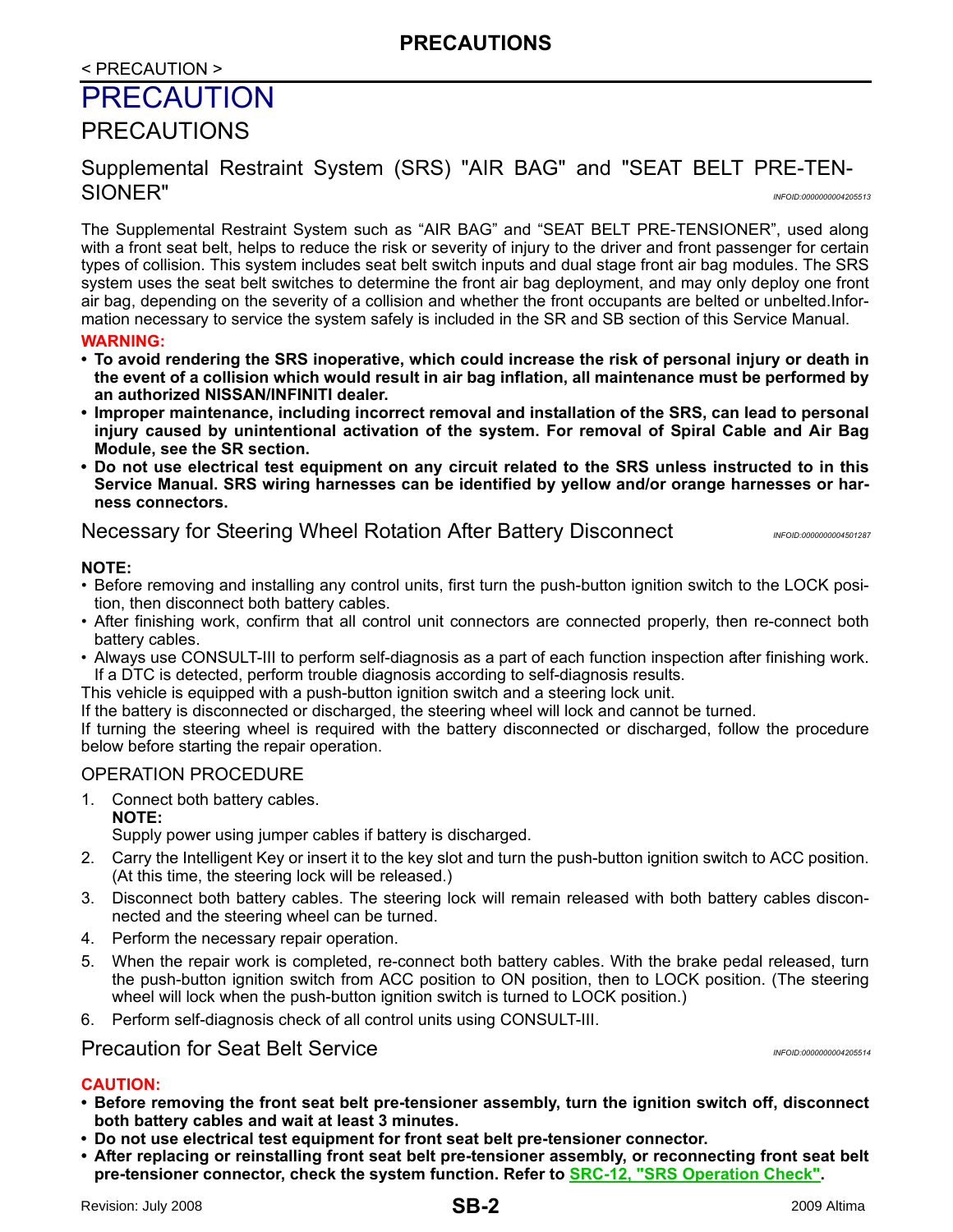## < PRECAUTION >

## <span id="page-1-0"></span>**PRECAUTION**

## <span id="page-1-1"></span>PRECAUTIONS

## <span id="page-1-2"></span>Supplemental Restraint System (SRS) "AIR BAG" and "SEAT BELT PRE-TEN-SIONER" *INFOID:0000000004205513*

The Supplemental Restraint System such as "AIR BAG" and "SEAT BELT PRE-TENSIONER", used along with a front seat belt, helps to reduce the risk or severity of injury to the driver and front passenger for certain types of collision. This system includes seat belt switch inputs and dual stage front air bag modules. The SRS system uses the seat belt switches to determine the front air bag deployment, and may only deploy one front air bag, depending on the severity of a collision and whether the front occupants are belted or unbelted.Information necessary to service the system safely is included in the SR and SB section of this Service Manual.

#### **WARNING:**

- **To avoid rendering the SRS inoperative, which could increase the risk of personal injury or death in the event of a collision which would result in air bag inflation, all maintenance must be performed by an authorized NISSAN/INFINITI dealer.**
- **Improper maintenance, including incorrect removal and installation of the SRS, can lead to personal injury caused by unintentional activation of the system. For removal of Spiral Cable and Air Bag Module, see the SR section.**
- **Do not use electrical test equipment on any circuit related to the SRS unless instructed to in this Service Manual. SRS wiring harnesses can be identified by yellow and/or orange harnesses or harness connectors.**

## <span id="page-1-3"></span>**Necessary for Steering Wheel Rotation After Battery Disconnect** *INFOID:00000004501287*

#### **NOTE:**

- Before removing and installing any control units, first turn the push-button ignition switch to the LOCK position, then disconnect both battery cables.
- After finishing work, confirm that all control unit connectors are connected properly, then re-connect both battery cables.
- Always use CONSULT-III to perform self-diagnosis as a part of each function inspection after finishing work. If a DTC is detected, perform trouble diagnosis according to self-diagnosis results.
- This vehicle is equipped with a push-button ignition switch and a steering lock unit.
- If the battery is disconnected or discharged, the steering wheel will lock and cannot be turned.

If turning the steering wheel is required with the battery disconnected or discharged, follow the procedure below before starting the repair operation.

## OPERATION PROCEDURE

1. Connect both battery cables.

**NOTE:**

Supply power using jumper cables if battery is discharged.

- 2. Carry the Intelligent Key or insert it to the key slot and turn the push-button ignition switch to ACC position. (At this time, the steering lock will be released.)
- 3. Disconnect both battery cables. The steering lock will remain released with both battery cables disconnected and the steering wheel can be turned.
- 4. Perform the necessary repair operation.
- 5. When the repair work is completed, re-connect both battery cables. With the brake pedal released, turn the push-button ignition switch from ACC position to ON position, then to LOCK position. (The steering wheel will lock when the push-button ignition switch is turned to LOCK position.)
- 6. Perform self-diagnosis check of all control units using CONSULT-III.

## <span id="page-1-4"></span>Precaution for Seat Belt Service *INFOID:0000000004205514*

#### **CAUTION:**

- **Before removing the front seat belt pre-tensioner assembly, turn the ignition switch off, disconnect both battery cables and wait at least 3 minutes.**
- **Do not use electrical test equipment for front seat belt pre-tensioner connector.**
- **After replacing or reinstalling front seat belt pre-tensioner assembly, or reconnecting front seat belt pre-tensioner connector, check the system function. Refer to SRC-12, "SRS Operation Check".**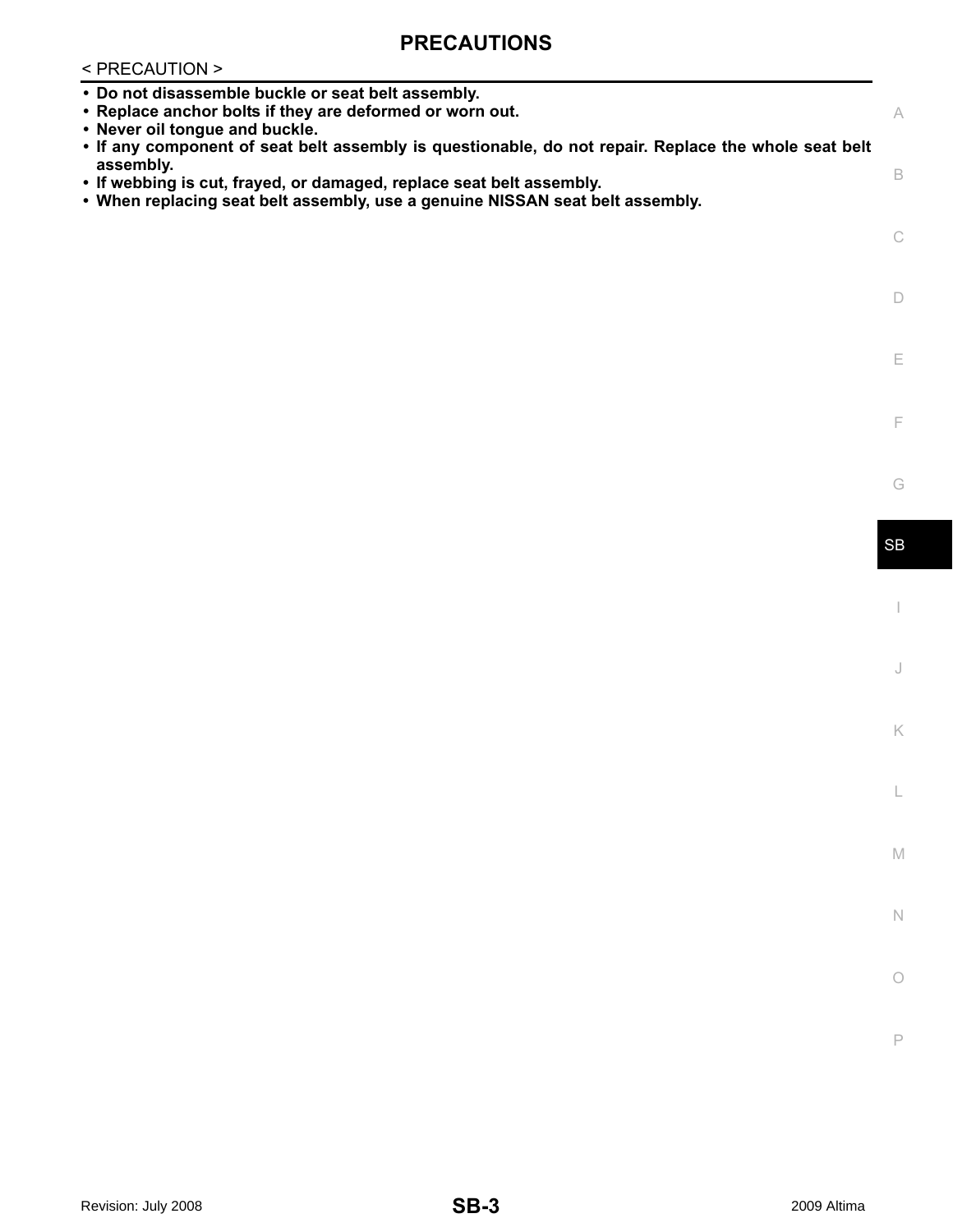## **PRECAUTIONS**

## < PRECAUTION >

| • Do not disassemble buckle or seat belt assembly.<br>• Replace anchor bolts if they are deformed or worn out.<br>• Never oil tongue and buckle.<br>. If any component of seat belt assembly is questionable, do not repair. Replace the whole seat belt | A         |
|----------------------------------------------------------------------------------------------------------------------------------------------------------------------------------------------------------------------------------------------------------|-----------|
| assembly.<br>• If webbing is cut, frayed, or damaged, replace seat belt assembly.<br>• When replacing seat belt assembly, use a genuine NISSAN seat belt assembly.                                                                                       | B         |
|                                                                                                                                                                                                                                                          | C         |
|                                                                                                                                                                                                                                                          | D         |
|                                                                                                                                                                                                                                                          | E.        |
|                                                                                                                                                                                                                                                          | F         |
|                                                                                                                                                                                                                                                          | G         |
|                                                                                                                                                                                                                                                          | <b>SB</b> |
|                                                                                                                                                                                                                                                          |           |

J

K

L

M

N

O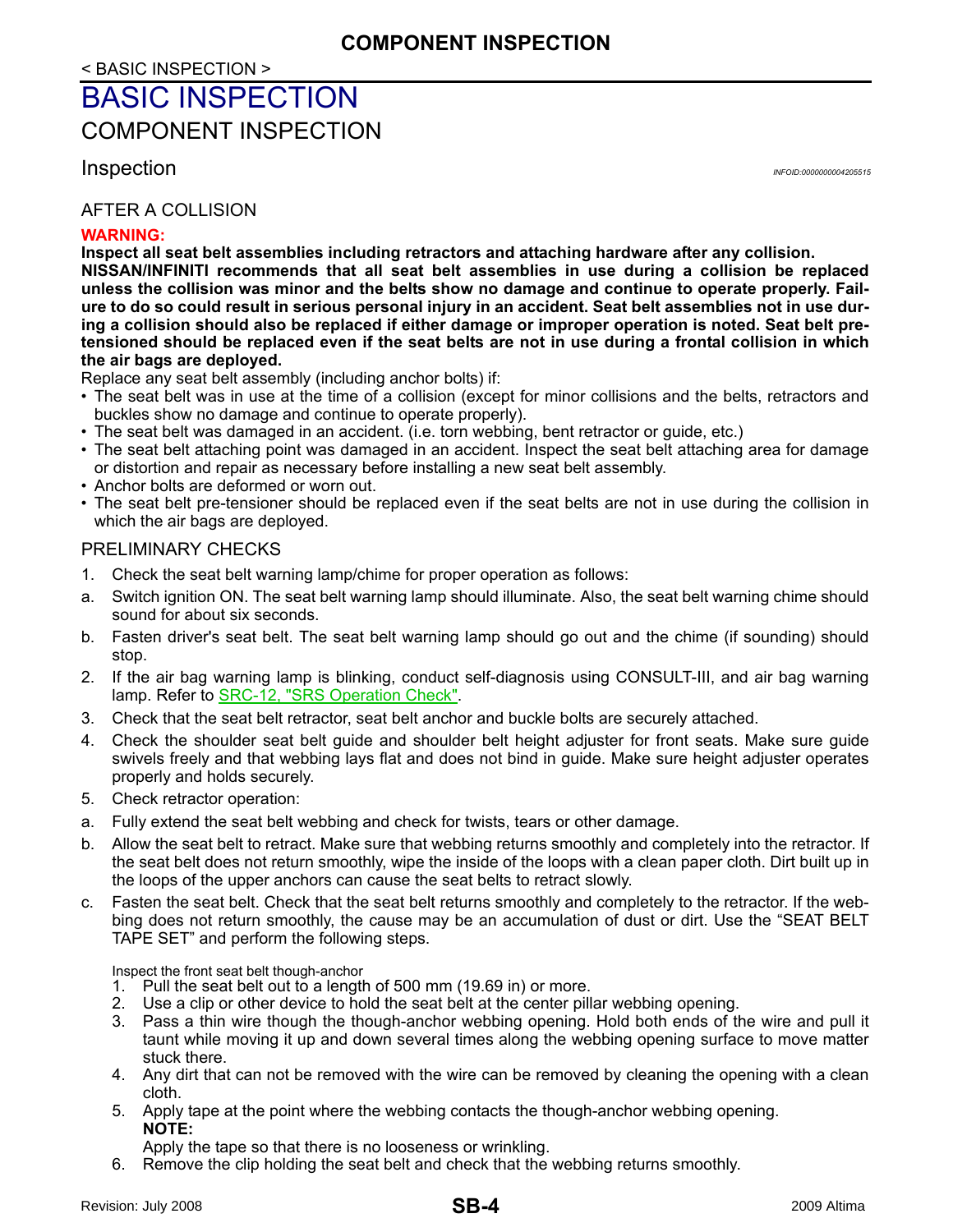## <span id="page-3-0"></span>BASIC INSPECTION

<span id="page-3-1"></span>COMPONENT INSPECTION

<span id="page-3-2"></span>Inspection *INFOID:0000000004205515*

## AFTER A COLLISION

#### **WARNING:**

**Inspect all seat belt assemblies including retractors and attaching hardware after any collision. NISSAN/INFINITI recommends that all seat belt assemblies in use during a collision be replaced unless the collision was minor and the belts show no damage and continue to operate properly. Failure to do so could result in serious personal injury in an accident. Seat belt assemblies not in use during a collision should also be replaced if either damage or improper operation is noted. Seat belt pretensioned should be replaced even if the seat belts are not in use during a frontal collision in which the air bags are deployed.**

Replace any seat belt assembly (including anchor bolts) if:

- The seat belt was in use at the time of a collision (except for minor collisions and the belts, retractors and buckles show no damage and continue to operate properly).
- The seat belt was damaged in an accident. (i.e. torn webbing, bent retractor or guide, etc.)
- The seat belt attaching point was damaged in an accident. Inspect the seat belt attaching area for damage or distortion and repair as necessary before installing a new seat belt assembly.
- Anchor bolts are deformed or worn out.
- The seat belt pre-tensioner should be replaced even if the seat belts are not in use during the collision in which the air bags are deployed.

#### PRELIMINARY CHECKS

- 1. Check the seat belt warning lamp/chime for proper operation as follows:
- a. Switch ignition ON. The seat belt warning lamp should illuminate. Also, the seat belt warning chime should sound for about six seconds.
- b. Fasten driver's seat belt. The seat belt warning lamp should go out and the chime (if sounding) should stop.
- 2. If the air bag warning lamp is blinking, conduct self-diagnosis using CONSULT-III, and air bag warning lamp. Refer to SRC-12, "SRS Operation Check".
- 3. Check that the seat belt retractor, seat belt anchor and buckle bolts are securely attached.
- 4. Check the shoulder seat belt guide and shoulder belt height adjuster for front seats. Make sure guide swivels freely and that webbing lays flat and does not bind in guide. Make sure height adjuster operates properly and holds securely.
- 5. Check retractor operation:
- a. Fully extend the seat belt webbing and check for twists, tears or other damage.
- b. Allow the seat belt to retract. Make sure that webbing returns smoothly and completely into the retractor. If the seat belt does not return smoothly, wipe the inside of the loops with a clean paper cloth. Dirt built up in the loops of the upper anchors can cause the seat belts to retract slowly.
- c. Fasten the seat belt. Check that the seat belt returns smoothly and completely to the retractor. If the webbing does not return smoothly, the cause may be an accumulation of dust or dirt. Use the "SEAT BELT TAPE SET" and perform the following steps.

Inspect the front seat belt though-anchor

- 1. Pull the seat belt out to a length of 500 mm (19.69 in) or more.
- 2. Use a clip or other device to hold the seat belt at the center pillar webbing opening.
- 3. Pass a thin wire though the though-anchor webbing opening. Hold both ends of the wire and pull it taunt while moving it up and down several times along the webbing opening surface to move matter stuck there.
- 4. Any dirt that can not be removed with the wire can be removed by cleaning the opening with a clean cloth.
- 5. Apply tape at the point where the webbing contacts the though-anchor webbing opening. **NOTE:**

Apply the tape so that there is no looseness or wrinkling.

6. Remove the clip holding the seat belt and check that the webbing returns smoothly.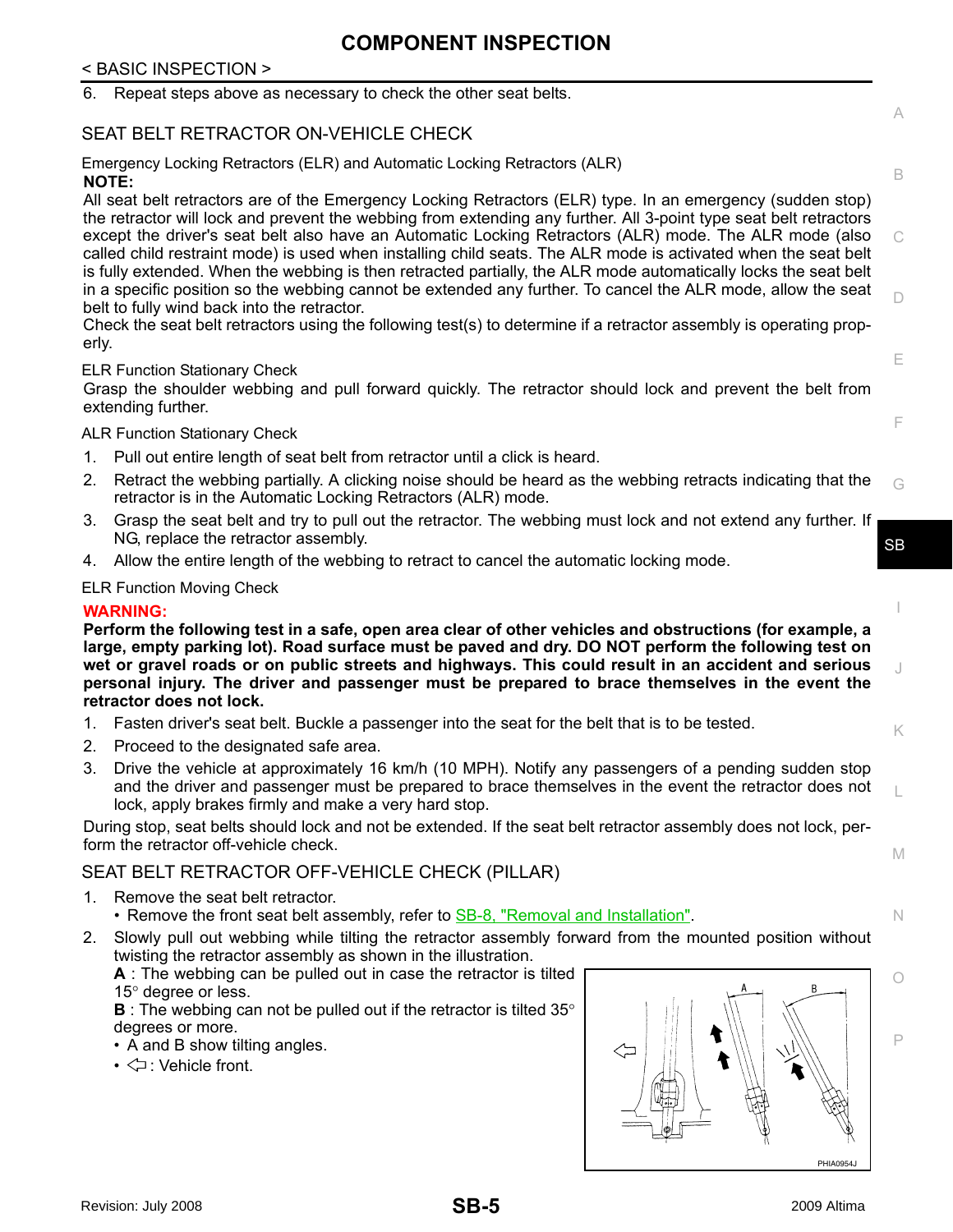## **COMPONENT INSPECTION**

## < BASIC INSPECTION >

|                                                                                                                                                                                                                                                                                                                                                                                                                                                            | 6.    | Repeat steps above as necessary to check the other seat belts.                                                                                                                                                                                                                                                                                                                                                                                                                                                                                                                                                                                                                                 |           |  |
|------------------------------------------------------------------------------------------------------------------------------------------------------------------------------------------------------------------------------------------------------------------------------------------------------------------------------------------------------------------------------------------------------------------------------------------------------------|-------|------------------------------------------------------------------------------------------------------------------------------------------------------------------------------------------------------------------------------------------------------------------------------------------------------------------------------------------------------------------------------------------------------------------------------------------------------------------------------------------------------------------------------------------------------------------------------------------------------------------------------------------------------------------------------------------------|-----------|--|
|                                                                                                                                                                                                                                                                                                                                                                                                                                                            |       | SEAT BELT RETRACTOR ON-VEHICLE CHECK                                                                                                                                                                                                                                                                                                                                                                                                                                                                                                                                                                                                                                                           | A         |  |
|                                                                                                                                                                                                                                                                                                                                                                                                                                                            |       | Emergency Locking Retractors (ELR) and Automatic Locking Retractors (ALR)<br><b>NOTE:</b>                                                                                                                                                                                                                                                                                                                                                                                                                                                                                                                                                                                                      | B         |  |
|                                                                                                                                                                                                                                                                                                                                                                                                                                                            |       | All seat belt retractors are of the Emergency Locking Retractors (ELR) type. In an emergency (sudden stop)<br>the retractor will lock and prevent the webbing from extending any further. All 3-point type seat belt retractors<br>except the driver's seat belt also have an Automatic Locking Retractors (ALR) mode. The ALR mode (also<br>called child restraint mode) is used when installing child seats. The ALR mode is activated when the seat belt<br>is fully extended. When the webbing is then retracted partially, the ALR mode automatically locks the seat belt<br>in a specific position so the webbing cannot be extended any further. To cancel the ALR mode, allow the seat | C         |  |
|                                                                                                                                                                                                                                                                                                                                                                                                                                                            |       | belt to fully wind back into the retractor.<br>Check the seat belt retractors using the following test(s) to determine if a retractor assembly is operating prop-                                                                                                                                                                                                                                                                                                                                                                                                                                                                                                                              | D         |  |
|                                                                                                                                                                                                                                                                                                                                                                                                                                                            | erly. |                                                                                                                                                                                                                                                                                                                                                                                                                                                                                                                                                                                                                                                                                                |           |  |
|                                                                                                                                                                                                                                                                                                                                                                                                                                                            |       | <b>ELR Function Stationary Check</b>                                                                                                                                                                                                                                                                                                                                                                                                                                                                                                                                                                                                                                                           | E         |  |
|                                                                                                                                                                                                                                                                                                                                                                                                                                                            |       | Grasp the shoulder webbing and pull forward quickly. The retractor should lock and prevent the belt from<br>extending further.                                                                                                                                                                                                                                                                                                                                                                                                                                                                                                                                                                 |           |  |
|                                                                                                                                                                                                                                                                                                                                                                                                                                                            |       | <b>ALR Function Stationary Check</b>                                                                                                                                                                                                                                                                                                                                                                                                                                                                                                                                                                                                                                                           | F         |  |
|                                                                                                                                                                                                                                                                                                                                                                                                                                                            | 1.    | Pull out entire length of seat belt from retractor until a click is heard.                                                                                                                                                                                                                                                                                                                                                                                                                                                                                                                                                                                                                     |           |  |
|                                                                                                                                                                                                                                                                                                                                                                                                                                                            | 2.    | Retract the webbing partially. A clicking noise should be heard as the webbing retracts indicating that the<br>retractor is in the Automatic Locking Retractors (ALR) mode.                                                                                                                                                                                                                                                                                                                                                                                                                                                                                                                    | G         |  |
|                                                                                                                                                                                                                                                                                                                                                                                                                                                            | 3.    | Grasp the seat belt and try to pull out the retractor. The webbing must lock and not extend any further. If<br>NG, replace the retractor assembly.                                                                                                                                                                                                                                                                                                                                                                                                                                                                                                                                             | <b>SB</b> |  |
|                                                                                                                                                                                                                                                                                                                                                                                                                                                            | 4.    | Allow the entire length of the webbing to retract to cancel the automatic locking mode.                                                                                                                                                                                                                                                                                                                                                                                                                                                                                                                                                                                                        |           |  |
|                                                                                                                                                                                                                                                                                                                                                                                                                                                            |       | <b>ELR Function Moving Check</b>                                                                                                                                                                                                                                                                                                                                                                                                                                                                                                                                                                                                                                                               |           |  |
|                                                                                                                                                                                                                                                                                                                                                                                                                                                            |       | <b>WARNING:</b>                                                                                                                                                                                                                                                                                                                                                                                                                                                                                                                                                                                                                                                                                |           |  |
| Perform the following test in a safe, open area clear of other vehicles and obstructions (for example, a<br>large, empty parking lot). Road surface must be paved and dry. DO NOT perform the following test on<br>wet or gravel roads or on public streets and highways. This could result in an accident and serious<br>J<br>personal injury. The driver and passenger must be prepared to brace themselves in the event the<br>retractor does not lock. |       |                                                                                                                                                                                                                                                                                                                                                                                                                                                                                                                                                                                                                                                                                                |           |  |
|                                                                                                                                                                                                                                                                                                                                                                                                                                                            | 1.    | Fasten driver's seat belt. Buckle a passenger into the seat for the belt that is to be tested.                                                                                                                                                                                                                                                                                                                                                                                                                                                                                                                                                                                                 | K.        |  |
|                                                                                                                                                                                                                                                                                                                                                                                                                                                            | 2.    | Proceed to the designated safe area.                                                                                                                                                                                                                                                                                                                                                                                                                                                                                                                                                                                                                                                           |           |  |
|                                                                                                                                                                                                                                                                                                                                                                                                                                                            | 3.    | Drive the vehicle at approximately 16 km/h (10 MPH). Notify any passengers of a pending sudden stop<br>and the driver and passenger must be prepared to brace themselves in the event the retractor does not<br>lock, apply brakes firmly and make a very hard stop.                                                                                                                                                                                                                                                                                                                                                                                                                           |           |  |
|                                                                                                                                                                                                                                                                                                                                                                                                                                                            |       | During stop, seat belts should lock and not be extended. If the seat belt retractor assembly does not lock, per-<br>form the retractor off-vehicle check.                                                                                                                                                                                                                                                                                                                                                                                                                                                                                                                                      |           |  |
|                                                                                                                                                                                                                                                                                                                                                                                                                                                            |       | SEAT BELT RETRACTOR OFF-VEHICLE CHECK (PILLAR)                                                                                                                                                                                                                                                                                                                                                                                                                                                                                                                                                                                                                                                 | M         |  |
|                                                                                                                                                                                                                                                                                                                                                                                                                                                            | 1.    | Remove the seat belt retractor.<br>• Remove the front seat belt assembly, refer to <b>SB-8</b> , "Removal and Installation".                                                                                                                                                                                                                                                                                                                                                                                                                                                                                                                                                                   | N.        |  |
|                                                                                                                                                                                                                                                                                                                                                                                                                                                            | 2.    | Slowly pull out webbing while tilting the retractor assembly forward from the mounted position without<br>twisting the retractor assembly as shown in the illustration.<br>A: The webbing can be pulled out in case the retractor is tilted                                                                                                                                                                                                                                                                                                                                                                                                                                                    |           |  |
|                                                                                                                                                                                                                                                                                                                                                                                                                                                            |       | 15° degree or less.                                                                                                                                                                                                                                                                                                                                                                                                                                                                                                                                                                                                                                                                            |           |  |

**B** : The webbing can not be pulled out if the retractor is tilted 35° degrees or more.

- $\breve{\mathsf{A}}$  and B show tilting angles.
- $\Leftrightarrow$  : Vehicle front.

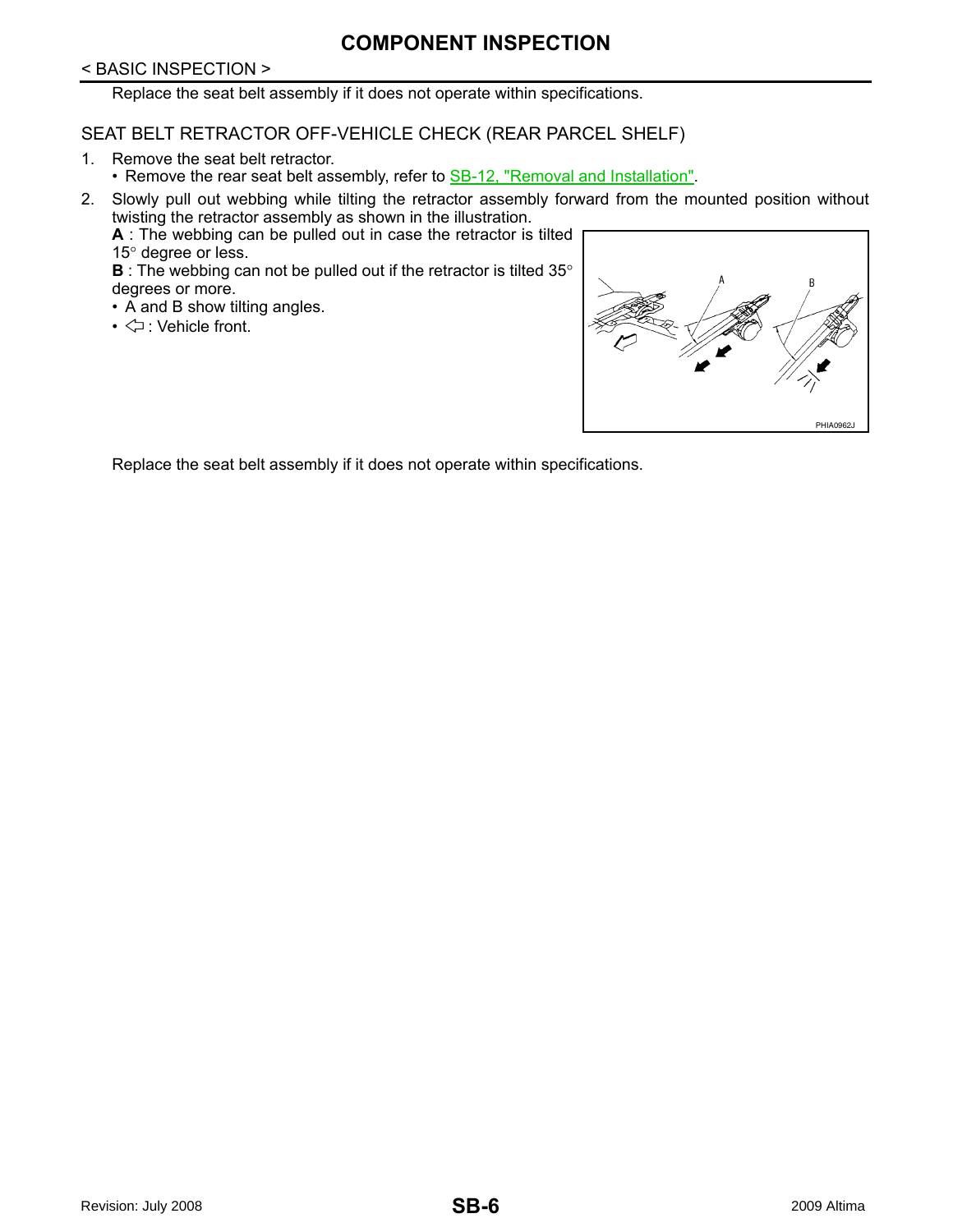## **COMPONENT INSPECTION**

#### < BASIC INSPECTION >

Replace the seat belt assembly if it does not operate within specifications.

## SEAT BELT RETRACTOR OFF-VEHICLE CHECK (REAR PARCEL SHELF)

- 1. Remove the seat belt retractor.
	- Remove the rear seat belt assembly, refer to **SB-12**, "Removal and Installation".
- 2. Slowly pull out webbing while tilting the retractor assembly forward from the mounted position without twisting the retractor assembly as shown in the illustration.
	- **A** : The webbing can be pulled out in case the retractor is tilted 15° degree or less.

**B** : The webbing can not be pulled out if the retractor is tilted 35° degrees or more.

- A and B show tilting angles.
- $\cdot$   $\Leftrightarrow$  : Vehicle front.



Replace the seat belt assembly if it does not operate within specifications.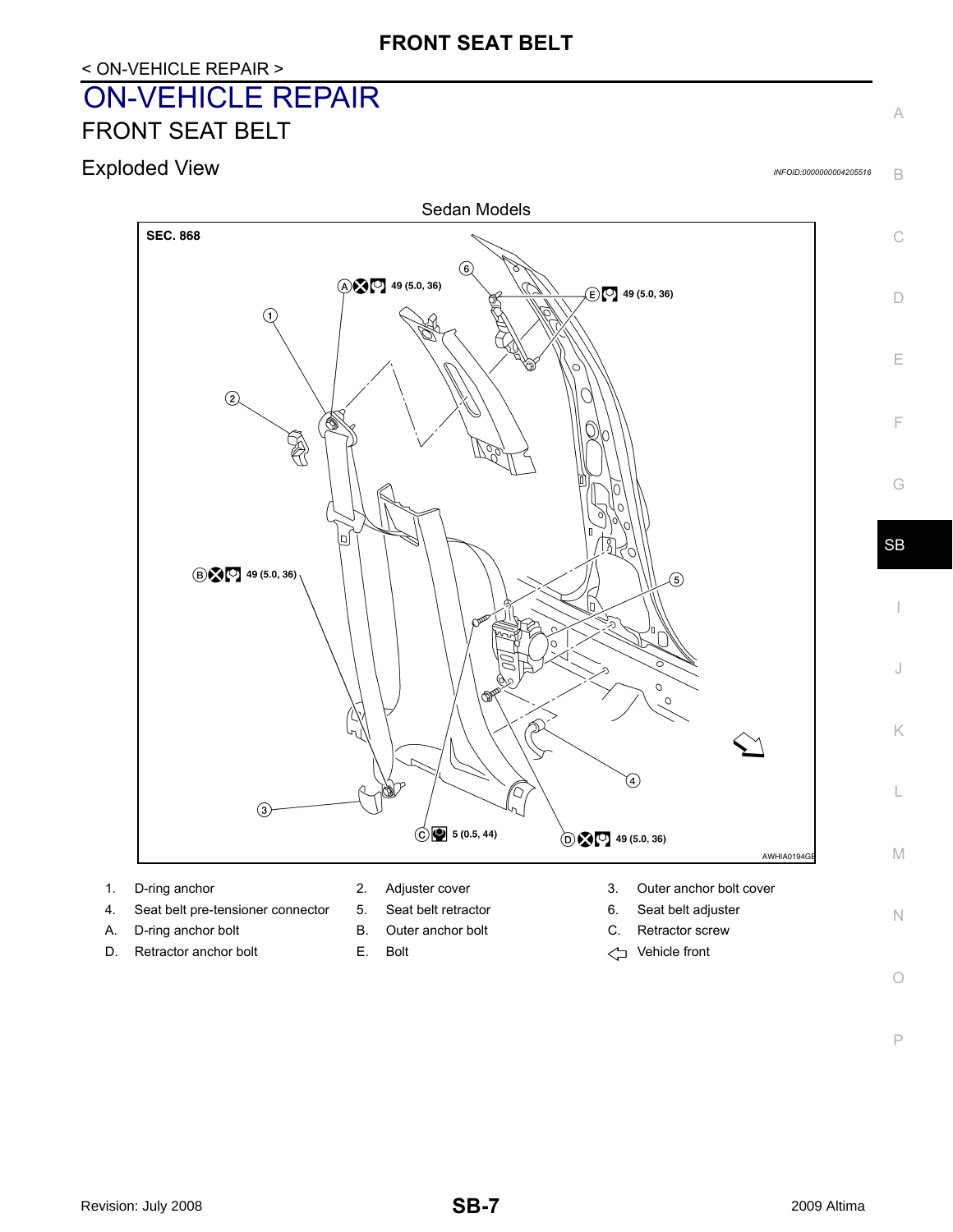## <span id="page-6-0"></span>< ON-VEHICLE REPAIR > ON-VEHICLE REPAIR FRONT SEAT BELT

<span id="page-6-2"></span><span id="page-6-1"></span>Exploded View *INFOID:0000000004205516*

B

C

A

D

E

F

G

I

J

K

L

M

N

 $\bigcirc$ 



- 
- 4. Seat belt pre-tensioner connector 5. Seat belt retractor 6. Seat belt adjuster
- A. D-ring anchor bolt **B.** Outer anchor bolt **C.** Retractor screw
- D. Retractor anchor bolt **E.** Bolt **E.** Bolt **Vehicle front**
- 
- 
- 
- 
- 1. D-ring anchor 2. Adjuster cover 3. Outer anchor bolt cover
	-
	-
	-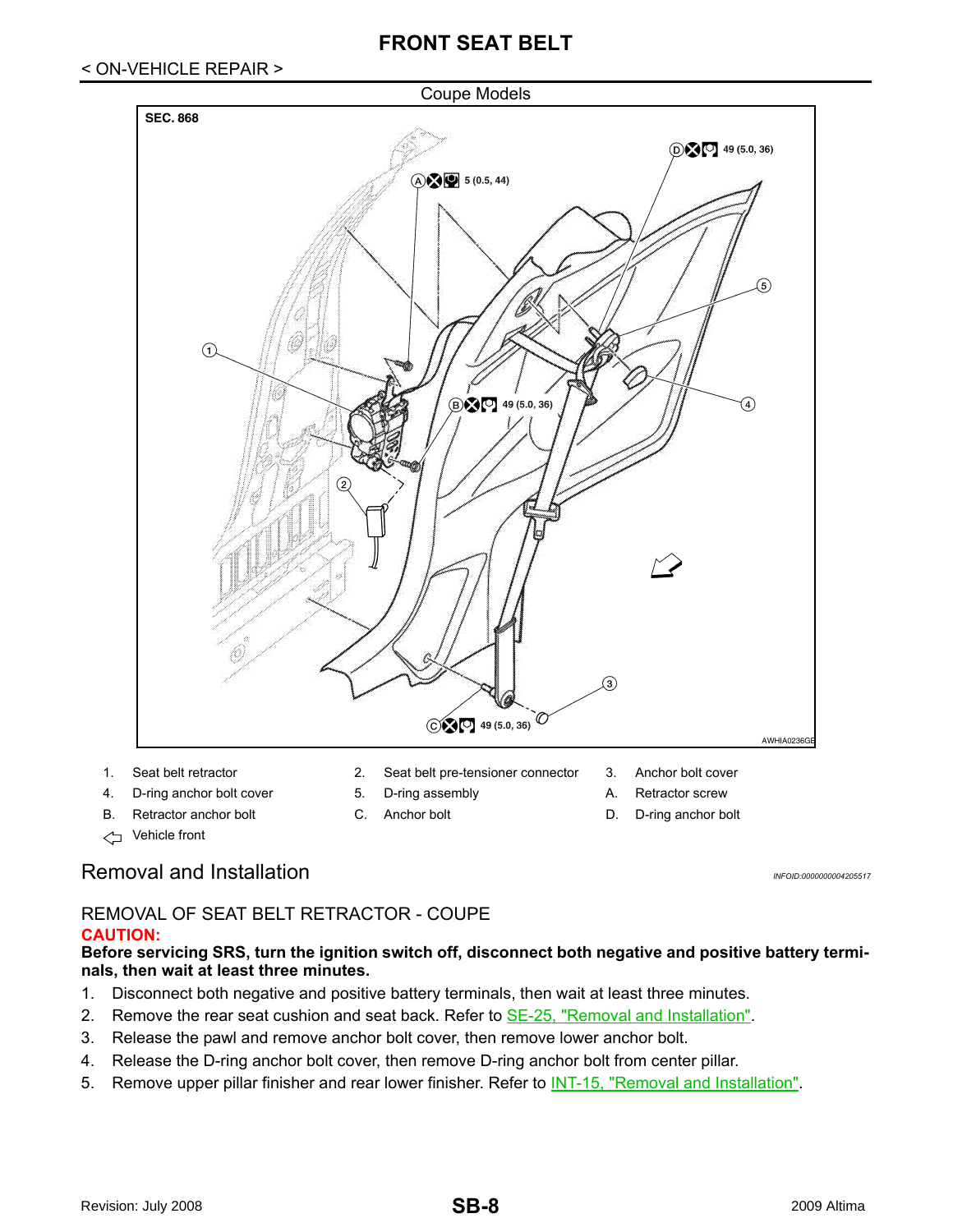## < ON-VEHICLE REPAIR >

#### Coupe Models



- 
- Vehicle front

## <span id="page-7-0"></span>Removal and Installation *Installation INFOID:000000004205517*

#### REMOVAL OF SEAT BELT RETRACTOR - COUPE **CAUTION:**

#### **Before servicing SRS, turn the ignition switch off, disconnect both negative and positive battery terminals, then wait at least three minutes.**

- 1. Disconnect both negative and positive battery terminals, then wait at least three minutes.
- 2. Remove the rear seat cushion and seat back. Refer to **SE-25**, "Removal and Installation".
- 3. Release the pawl and remove anchor bolt cover, then remove lower anchor bolt.
- 4. Release the D-ring anchor bolt cover, then remove D-ring anchor bolt from center pillar.
- 5. Remove upper pillar finisher and rear lower finisher. Refer to **INT-15**, "Removal and Installation".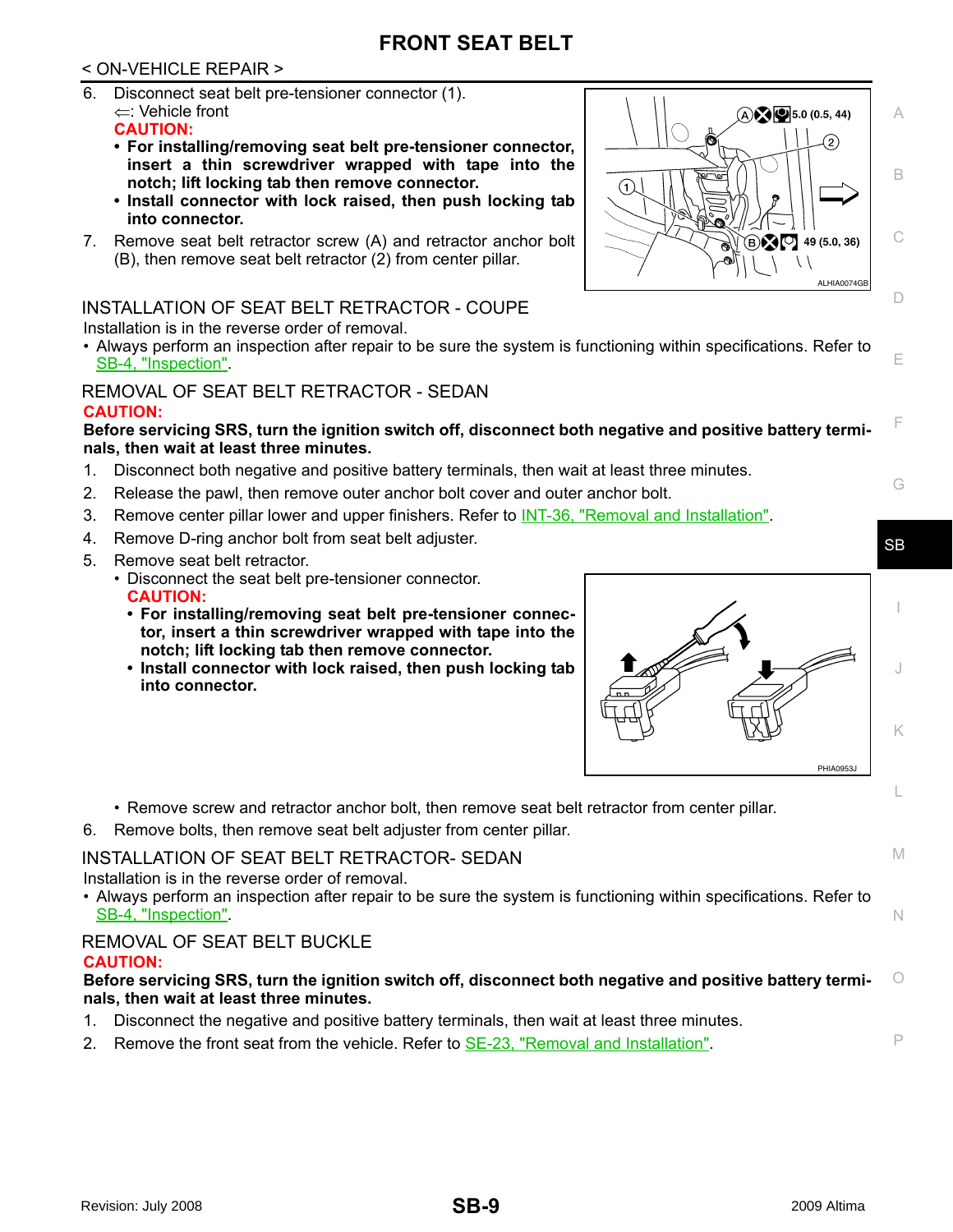## < ON-VEHICLE REPAIR >

- 6. Disconnect seat belt pre-tensioner connector (1). ⇐: Vehicle front **CAUTION:**
	- **For installing/removing seat belt pre-tensioner connector, insert a thin screwdriver wrapped with tape into the notch; lift locking tab then remove connector.**
	- **Install connector with lock raised, then push locking tab into connector.**
- 7. Remove seat belt retractor screw (A) and retractor anchor bolt (B), then remove seat belt retractor (2) from center pillar.

## INSTALLATION OF SEAT BELT RETRACTOR - COUPE

Installation is in the reverse order of removal.

• Always perform an inspection after repair to be sure the system is functioning within specifications. Refer to [SB-4, "Inspection"](#page-3-2).

## REMOVAL OF SEAT BELT RETRACTOR - SEDAN

## **CAUTION:**



- 1. Disconnect both negative and positive battery terminals, then wait at least three minutes.
- 2. Release the pawl, then remove outer anchor bolt cover and outer anchor bolt.
- 3. Remove center pillar lower and upper finishers. Refer to INT-36, "Removal and Installation".
- 4. Remove D-ring anchor bolt from seat belt adjuster.
- 5. Remove seat belt retractor.
	- Disconnect the seat belt pre-tensioner connector. **CAUTION:**
		- **For installing/removing seat belt pre-tensioner connector, insert a thin screwdriver wrapped with tape into the notch; lift locking tab then remove connector.**
		- **Install connector with lock raised, then push locking tab into connector.**



- Remove screw and retractor anchor bolt, then remove seat belt retractor from center pillar.
- 6. Remove bolts, then remove seat belt adjuster from center pillar.

## INSTALLATION OF SEAT BELT RETRACTOR- SEDAN

Installation is in the reverse order of removal.

• Always perform an inspection after repair to be sure the system is functioning within specifications. Refer to [SB-4, "Inspection"](#page-3-2).

#### REMOVAL OF SEAT BELT BUCKLE **CAUTION:**

#### O **Before servicing SRS, turn the ignition switch off, disconnect both negative and positive battery terminals, then wait at least three minutes.**

- 1. Disconnect the negative and positive battery terminals, then wait at least three minutes.
- 2. Remove the front seat from the vehicle. Refer to SE-23, "Removal and Installation".



M

N

P

G

C

A

B

D

E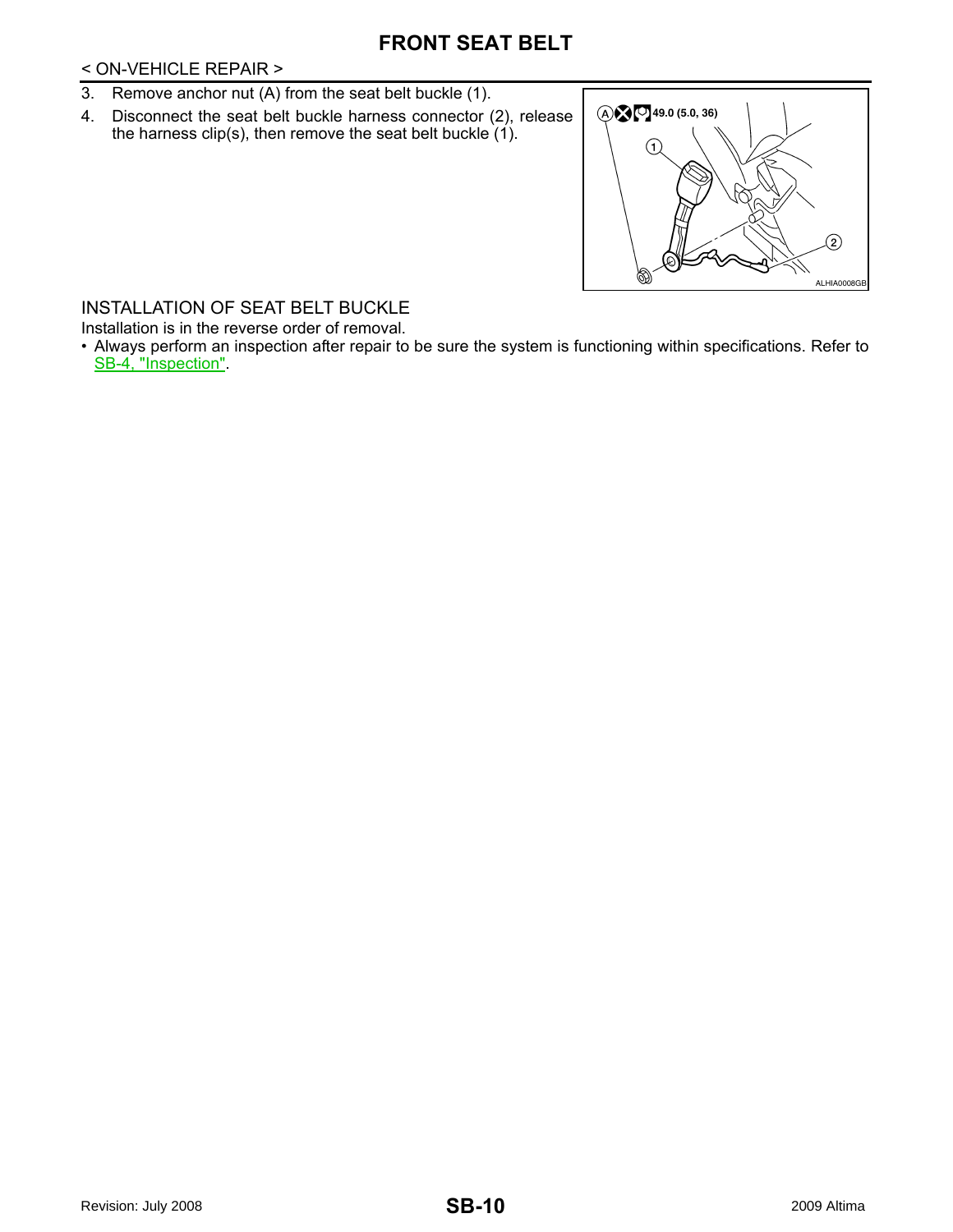## < ON-VEHICLE REPAIR >

- 3. Remove anchor nut (A) from the seat belt buckle (1).
- 4. Disconnect the seat belt buckle harness connector (2), release the harness clip(s), then remove the seat belt buckle (1).



## INSTALLATION OF SEAT BELT BUCKLE

Installation is in the reverse order of removal.

• Always perform an inspection after repair to be sure the system is functioning within specifications. Refer to [SB-4, "Inspection".](#page-3-2)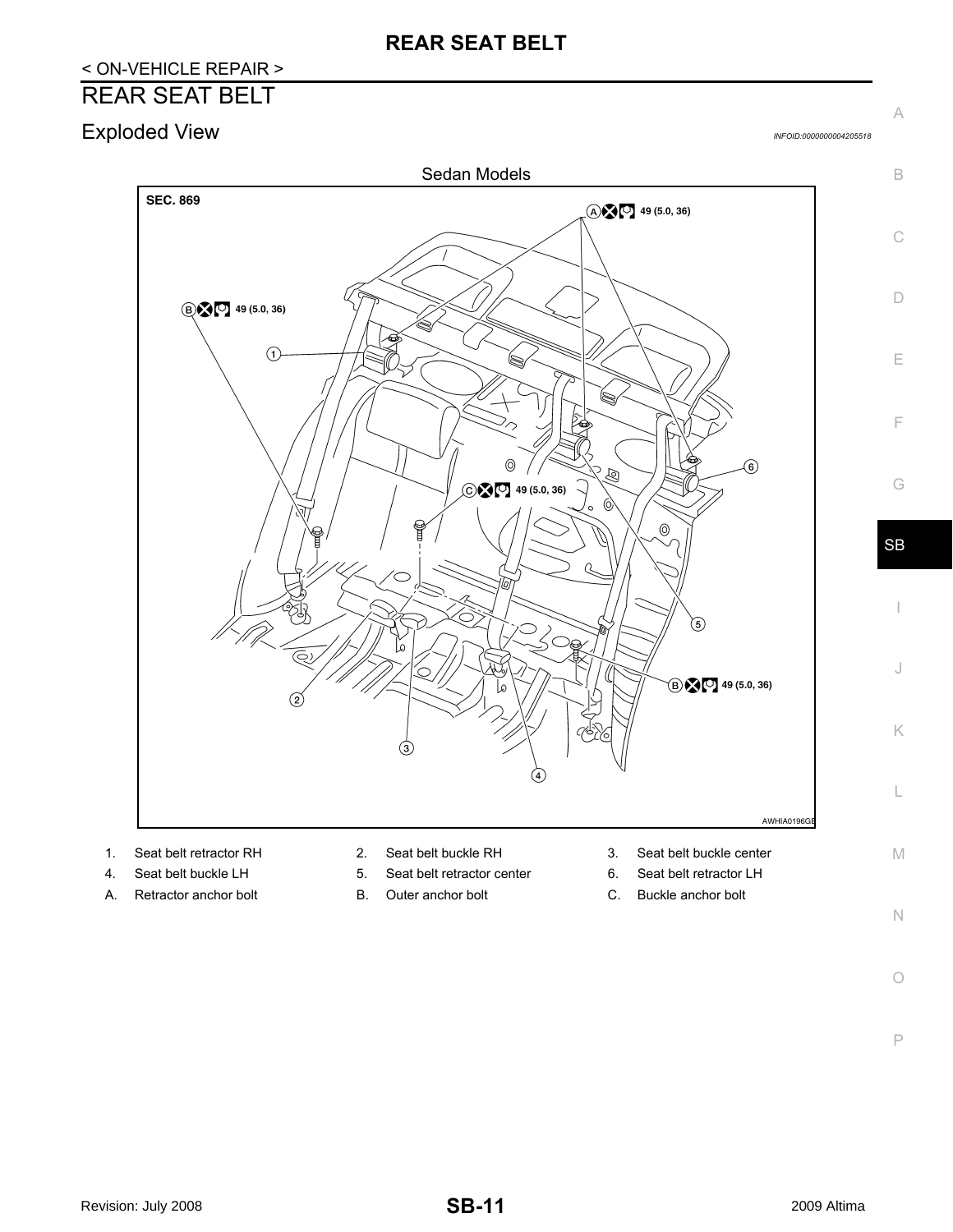## **REAR SEAT BELT**

## < ON-VEHICLE REPAIR >

## <span id="page-10-0"></span>REAR SEAT BELT

<span id="page-10-1"></span>Exploded View *INFOID:0000000004205518*

C

B

A

D

E

F

G

SB

I

J

K

L

M



- 
- 
- A. Retractor anchor bolt **B.** Outer anchor bolt **C.** Buckle anchor bolt
- 
- 4. Seat belt buckle LH 5. Seat belt retractor center 6. Seat belt retractor LH
	-
- 
- 
- 

N  $\bigcirc$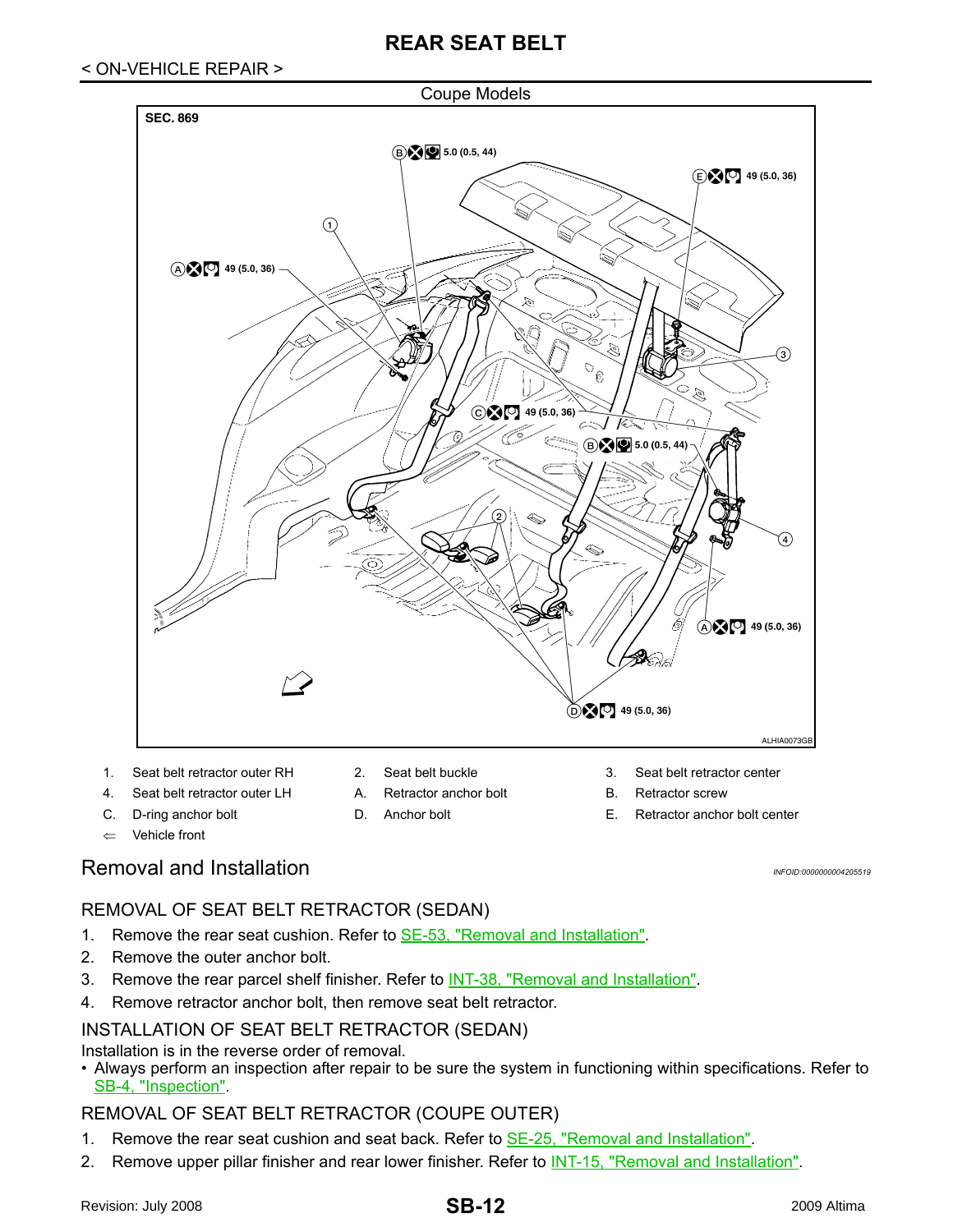

- 1. Seat belt retractor outer RH 2. Seat belt buckle 3. Seat belt retractor center
- 4. Seat belt retractor outer LH A. Retractor anchor bolt B. Retractor screw
- 
- ⇐ Vehicle front
- 
- 
- 

ķ

 $\odot$   $\odot$   $\odot$   $\odot$  49 (5.0, 36)

C. D-ring anchor bolt D. Anchor bolt E. Retractor anchor bolt center

## <span id="page-11-0"></span>Removal and Installation *Installation INFOID:000000004205519*

ALHIA0073G

 $\bigoplus$   $\bigodot$  49 (5.0, 36)

## REMOVAL OF SEAT BELT RETRACTOR (SEDAN)

- 1. Remove the rear seat cushion. Refer to **SE-53**, "Removal and Installation".
- 2. Remove the outer anchor bolt.
- 3. Remove the rear parcel shelf finisher. Refer to INT-38, "Removal and Installation".
- 4. Remove retractor anchor bolt, then remove seat belt retractor.

## INSTALLATION OF SEAT BELT RETRACTOR (SEDAN)

Installation is in the reverse order of removal.

• Always perform an inspection after repair to be sure the system in functioning within specifications. Refer to [SB-4, "Inspection".](#page-3-2)

## REMOVAL OF SEAT BELT RETRACTOR (COUPE OUTER)

- 1. Remove the rear seat cushion and seat back. Refer to **SE-25, "Removal and Installation"**.
- 2. Remove upper pillar finisher and rear lower finisher. Refer to **INT-15**, "Removal and Installation".

## **SB-12**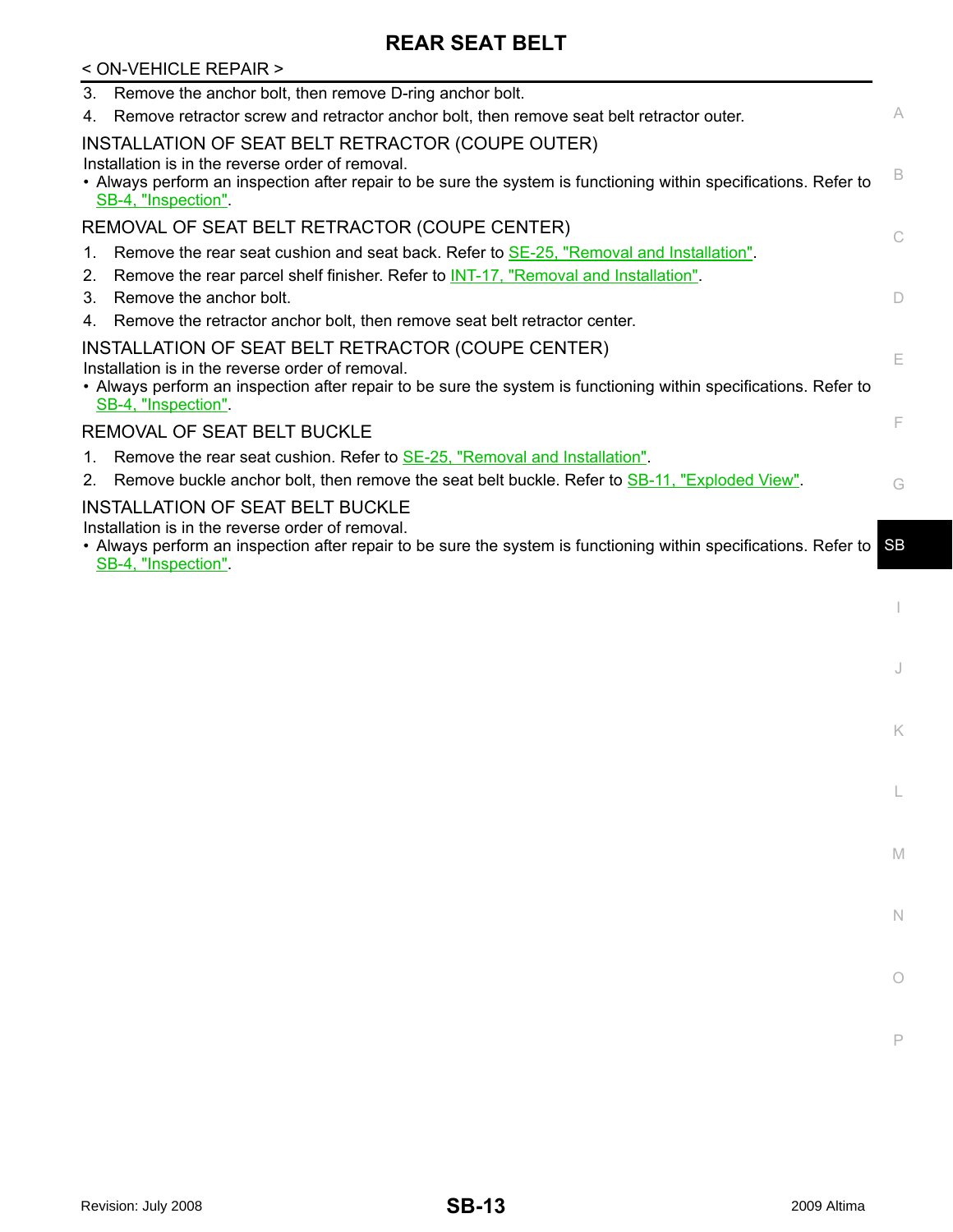## **REAR SEAT BELT**

| < ON-VEHICLE REPAIR >                                                                                                                                                                          |           |
|------------------------------------------------------------------------------------------------------------------------------------------------------------------------------------------------|-----------|
| Remove the anchor bolt, then remove D-ring anchor bolt.<br>3.                                                                                                                                  |           |
| Remove retractor screw and retractor anchor bolt, then remove seat belt retractor outer.<br>4.                                                                                                 | А         |
| INSTALLATION OF SEAT BELT RETRACTOR (COUPE OUTER)                                                                                                                                              |           |
| Installation is in the reverse order of removal.<br>• Always perform an inspection after repair to be sure the system is functioning within specifications. Refer to<br>SB-4, "Inspection".    | B         |
| REMOVAL OF SEAT BELT RETRACTOR (COUPE CENTER)                                                                                                                                                  | C         |
| Remove the rear seat cushion and seat back. Refer to <b>SE-25</b> , "Removal and Installation".<br>1.                                                                                          |           |
| Remove the rear parcel shelf finisher. Refer to <i>INT-17</i> , "Removal and Installation".<br>2.                                                                                              |           |
| Remove the anchor bolt.<br>3.                                                                                                                                                                  | D         |
| Remove the retractor anchor bolt, then remove seat belt retractor center.<br>4.                                                                                                                |           |
| INSTALLATION OF SEAT BELT RETRACTOR (COUPE CENTER)                                                                                                                                             | Е         |
| Installation is in the reverse order of removal.<br>• Always perform an inspection after repair to be sure the system is functioning within specifications. Refer to<br>SB-4, "Inspection".    |           |
| REMOVAL OF SEAT BELT BUCKLE                                                                                                                                                                    | F         |
| Remove the rear seat cushion. Refer to <b>SE-25</b> , "Removal and Installation".<br>1.<br>Remove buckle anchor bolt, then remove the seat belt buckle. Refer to SB-11, "Exploded View".<br>2. | G         |
| <b>INSTALLATION OF SEAT BELT BUCKLE</b>                                                                                                                                                        |           |
| Installation is in the reverse order of removal.                                                                                                                                               |           |
| • Always perform an inspection after repair to be sure the system is functioning within specifications. Refer to<br>SB-4, "Inspection".                                                        | <b>SB</b> |
|                                                                                                                                                                                                |           |
|                                                                                                                                                                                                |           |
|                                                                                                                                                                                                |           |
|                                                                                                                                                                                                |           |

 $\mathbb M$ 

K

L

N

O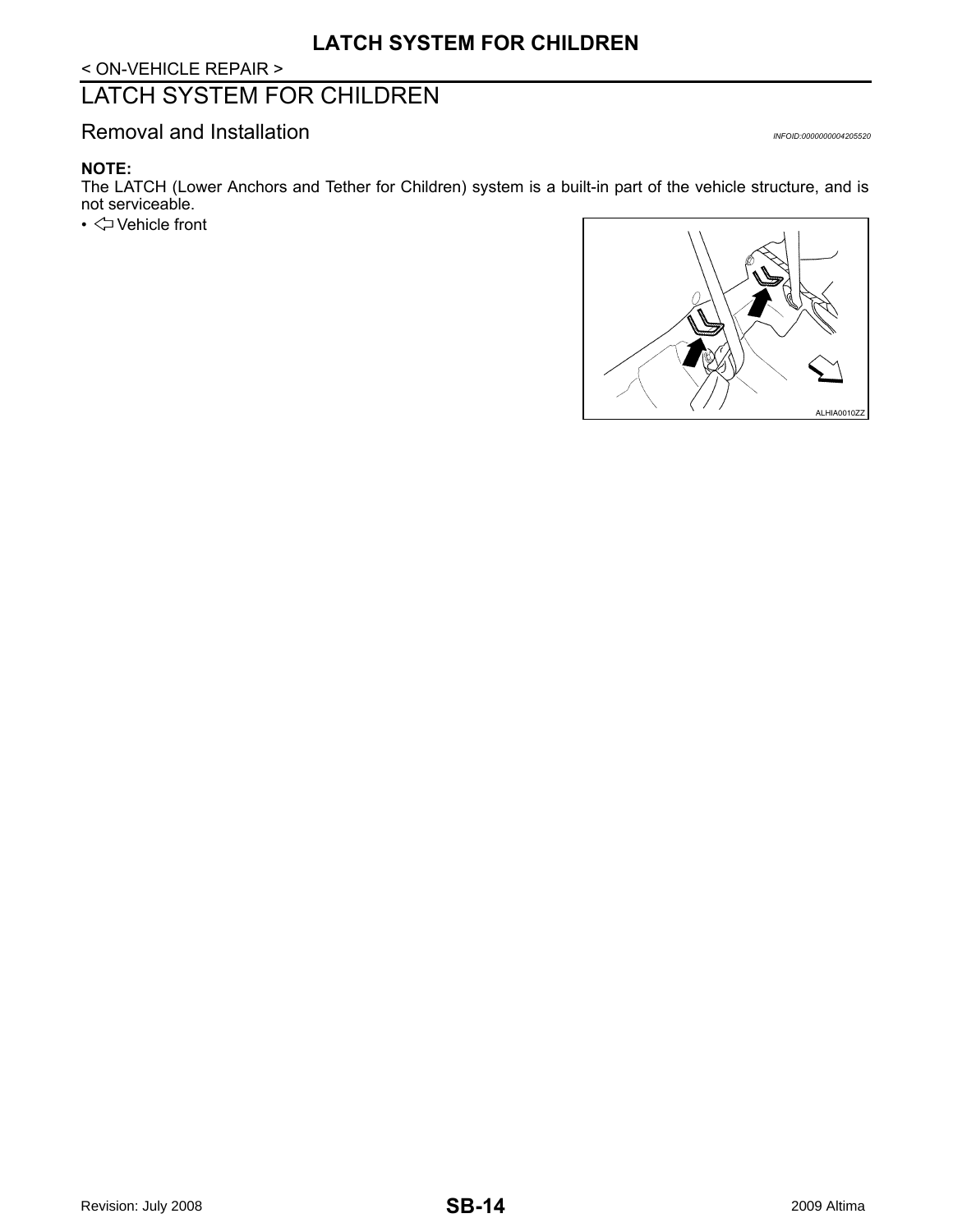< ON-VEHICLE REPAIR >

## <span id="page-13-0"></span>LATCH SYSTEM FOR CHILDREN

<span id="page-13-1"></span>Removal and Installation *Installation INFOID:000000004205520* 

#### **NOTE:**

The LATCH (Lower Anchors and Tether for Children) system is a built-in part of the vehicle structure, and is not serviceable.

• Vehicle front